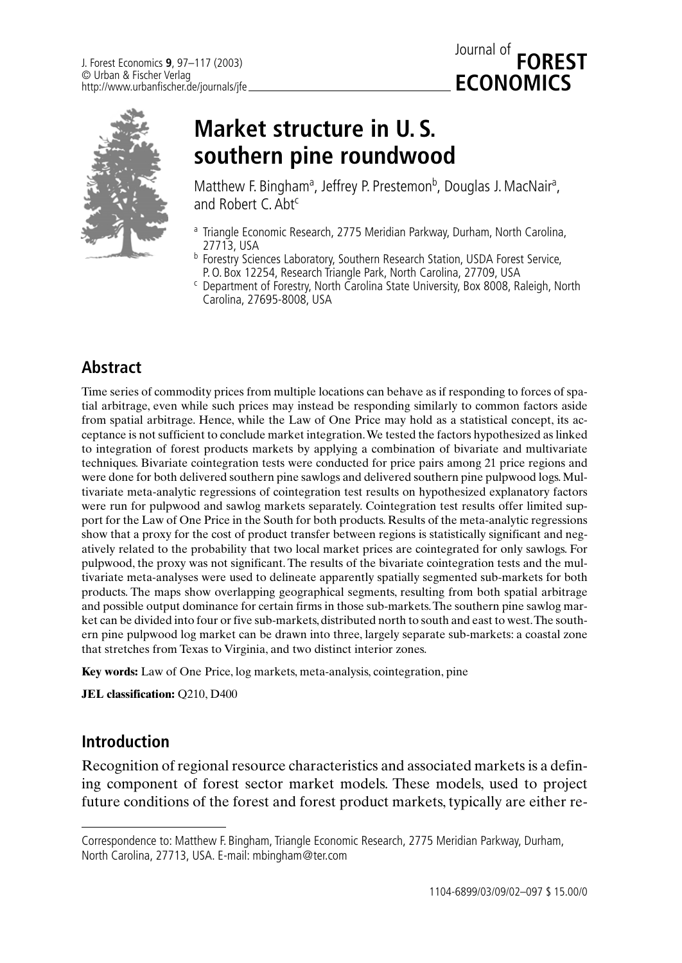



## **Market structure in U. S. southern pine roundwood**

Matthew F. Bingham<sup>a</sup>, Jeffrey P. Prestemon<sup>b</sup>, Douglas J. MacNair<sup>a</sup>, and Robert C. Abt<sup>c</sup>

- a Triangle Economic Research, 2775 Meridian Parkway, Durham, North Carolina, 27713, USA
- **b** Forestry Sciences Laboratory, Southern Research Station, USDA Forest Service, P. O. Box 12254, Research Triangle Park, North Carolina, 27709, USA
- <sup>c</sup> Department of Forestry, North Carolina State University, Box 8008, Raleigh, North Carolina, 27695-8008, USA

## **Abstract**

Time series of commodity prices from multiple locations can behave as if responding to forces of spatial arbitrage, even while such prices may instead be responding similarly to common factors aside from spatial arbitrage. Hence, while the Law of One Price may hold as a statistical concept, its acceptance is not sufficient to conclude market integration.We tested the factors hypothesized as linked to integration of forest products markets by applying a combination of bivariate and multivariate techniques. Bivariate cointegration tests were conducted for price pairs among 21 price regions and were done for both delivered southern pine sawlogs and delivered southern pine pulpwood logs. Multivariate meta-analytic regressions of cointegration test results on hypothesized explanatory factors were run for pulpwood and sawlog markets separately. Cointegration test results offer limited support for the Law of One Price in the South for both products. Results of the meta-analytic regressions show that a proxy for the cost of product transfer between regions is statistically significant and negatively related to the probability that two local market prices are cointegrated for only sawlogs. For pulpwood, the proxy was not significant. The results of the bivariate cointegration tests and the multivariate meta-analyses were used to delineate apparently spatially segmented sub-markets for both products. The maps show overlapping geographical segments, resulting from both spatial arbitrage and possible output dominance for certain firms in those sub-markets.The southern pine sawlog market can be divided into four or five sub-markets, distributed north to south and east to west.The southern pine pulpwood log market can be drawn into three, largely separate sub-markets: a coastal zone that stretches from Texas to Virginia, and two distinct interior zones.

**Key words:** Law of One Price, log markets, meta-analysis, cointegration, pine

**JEL classification:** Q210, D400

## **Introduction**

Recognition of regional resource characteristics and associated markets is a defining component of forest sector market models. These models, used to project future conditions of the forest and forest product markets, typically are either re-

Correspondence to: Matthew F. Bingham, Triangle Economic Research, 2775 Meridian Parkway, Durham, North Carolina, 27713, USA. E-mail: mbingham@ter.com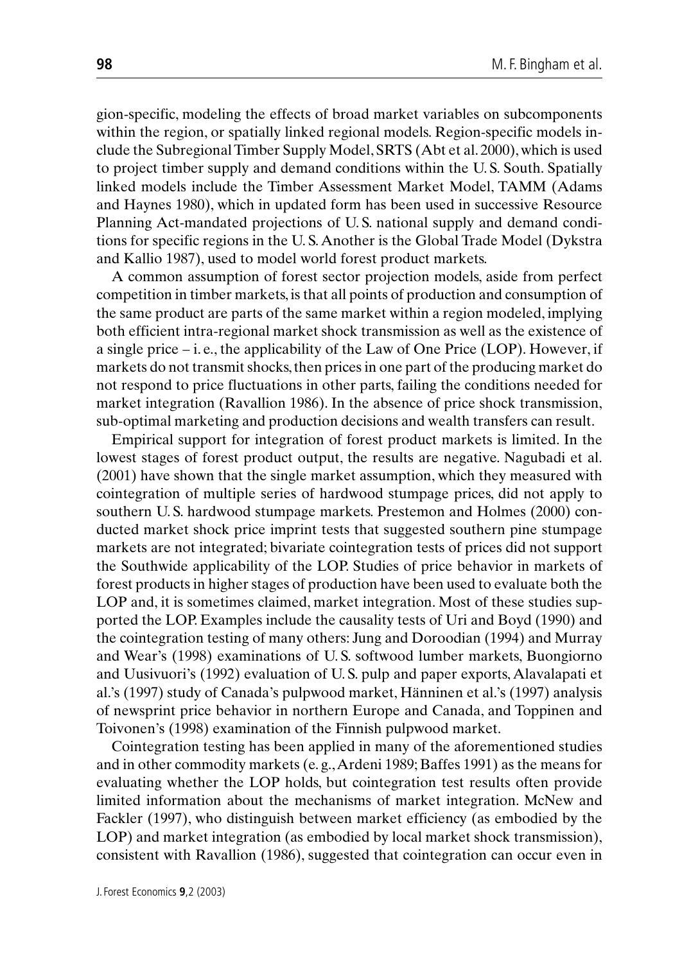gion-specific, modeling the effects of broad market variables on subcomponents within the region, or spatially linked regional models. Region-specific models include the Subregional Timber Supply Model, SRTS (Abt et al. 2000), which is used to project timber supply and demand conditions within the U. S. South. Spatially linked models include the Timber Assessment Market Model, TAMM (Adams and Haynes 1980), which in updated form has been used in successive Resource Planning Act-mandated projections of U. S. national supply and demand conditions for specific regions in the U. S. Another is the Global Trade Model (Dykstra and Kallio 1987), used to model world forest product markets.

A common assumption of forest sector projection models, aside from perfect competition in timber markets, is that all points of production and consumption of the same product are parts of the same market within a region modeled, implying both efficient intra-regional market shock transmission as well as the existence of a single price – i. e., the applicability of the Law of One Price (LOP). However, if markets do not transmit shocks, then prices in one part of the producing market do not respond to price fluctuations in other parts, failing the conditions needed for market integration (Ravallion 1986). In the absence of price shock transmission, sub-optimal marketing and production decisions and wealth transfers can result.

Empirical support for integration of forest product markets is limited. In the lowest stages of forest product output, the results are negative. Nagubadi et al. (2001) have shown that the single market assumption, which they measured with cointegration of multiple series of hardwood stumpage prices, did not apply to southern U. S. hardwood stumpage markets. Prestemon and Holmes (2000) conducted market shock price imprint tests that suggested southern pine stumpage markets are not integrated; bivariate cointegration tests of prices did not support the Southwide applicability of the LOP. Studies of price behavior in markets of forest products in higher stages of production have been used to evaluate both the LOP and, it is sometimes claimed, market integration. Most of these studies supported the LOP. Examples include the causality tests of Uri and Boyd (1990) and the cointegration testing of many others: Jung and Doroodian (1994) and Murray and Wear's (1998) examinations of U. S. softwood lumber markets, Buongiorno and Uusivuori's (1992) evaluation of U. S. pulp and paper exports, Alavalapati et al.'s (1997) study of Canada's pulpwood market, Hänninen et al.'s (1997) analysis of newsprint price behavior in northern Europe and Canada, and Toppinen and Toivonen's (1998) examination of the Finnish pulpwood market.

Cointegration testing has been applied in many of the aforementioned studies and in other commodity markets (e. g.,Ardeni 1989; Baffes 1991) as the means for evaluating whether the LOP holds, but cointegration test results often provide limited information about the mechanisms of market integration. McNew and Fackler (1997), who distinguish between market efficiency (as embodied by the LOP) and market integration (as embodied by local market shock transmission), consistent with Ravallion (1986), suggested that cointegration can occur even in